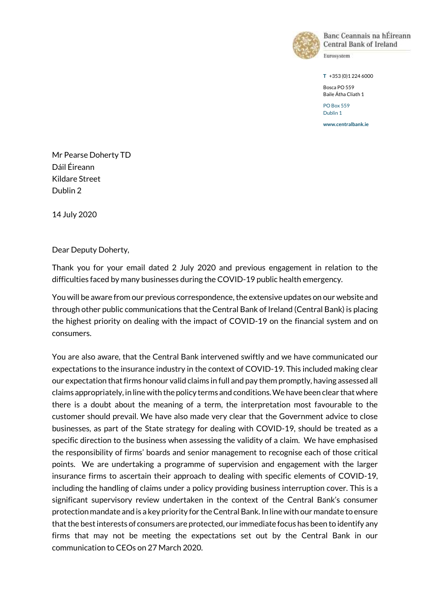

Banc Ceannais na hÉireann Central Bank of Ireland

Eurosystem

**T** +353 (0)1 224 6000

Bosca PO 559 Baile Átha Cliath 1

PO Box 559 Dublin 1

**www.centralbank.ie**

Mr Pearse Doherty TD Dáil Éireann Kildare Street Dublin 2

14 July 2020

Dear Deputy Doherty,

Thank you for your email dated 2 July 2020 and previous engagement in relation to the difficulties faced by many businesses during the COVID-19 public health emergency.

You will be aware from our previous correspondence, the extensive updates on our website and through other public communications that the Central Bank of Ireland (Central Bank) is placing the highest priority on dealing with the impact of COVID-19 on the financial system and on consumers.

You are also aware, that the Central Bank intervened swiftly and we have communicated our expectations to the insurance industry in the context of COVID-19. This included making clear our expectation that firms honour valid claims in full and pay them promptly, having assessed all claims appropriately, in line with the policy terms and conditions. We have been clear that where there is a doubt about the meaning of a term, the interpretation most favourable to the customer should prevail. We have also made very clear that the Government advice to close businesses, as part of the State strategy for dealing with COVID-19, should be treated as a specific direction to the business when assessing the validity of a claim. We have emphasised the responsibility of firms' boards and senior management to recognise each of those critical points. We are undertaking a programme of supervision and engagement with the larger insurance firms to ascertain their approach to dealing with specific elements of COVID-19, including the handling of claims under a policy providing business interruption cover. This is a significant supervisory review undertaken in the context of the Central Bank's consumer protection mandate and is a key priority for the Central Bank. In line with our mandate to ensure that the best interests of consumers are protected, our immediate focus has been to identify any firms that may not be meeting the expectations set out by the Central Bank in our communication to CEOs on 27 March 2020.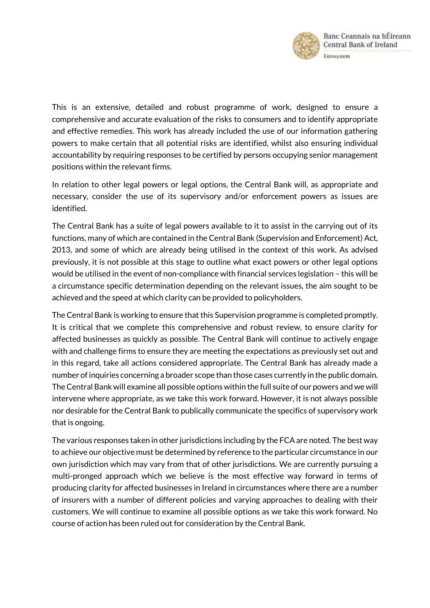

This is an extensive, detailed and robust programme of work, designed to ensure a comprehensive and accurate evaluation of the risks to consumers and to identify appropriate and effective remedies. This work has already included the use of our information gathering powers to make certain that all potential risks are identified, whilst also ensuring individual accountability by requiring responses to be certified by persons occupying senior management positions within the relevant firms.

In relation to other legal powers or legal options, the Central Bank will, as appropriate and necessary, consider the use of its supervisory and/or enforcement powers as issues are identified.

The Central Bank has a suite of legal powers available to it to assist in the carrying out of its functions, many of which are contained in the Central Bank (Supervision and Enforcement) Act, 2013, and some of which are already being utilised in the context of this work. As advised previously, it is not possible at this stage to outline what exact powers or other legal options would be utilised in the event of non-compliance with financial services legislation – this will be a circumstance specific determination depending on the relevant issues, the aim sought to be achieved and the speed at which clarity can be provided to policyholders.

The Central Bank is working to ensure that this Supervision programme is completed promptly. It is critical that we complete this comprehensive and robust review, to ensure clarity for affected businesses as quickly as possible. The Central Bank will continue to actively engage with and challenge firms to ensure they are meeting the expectations as previously set out and in this regard, take all actions considered appropriate. The Central Bank has already made a number of inquiries concerning a broader scope than those cases currently in the public domain. The Central Bank will examine all possible options within the full suite of our powers and we will intervene where appropriate, as we take this work forward. However, it is not always possible nor desirable for the Central Bank to publically communicate the specifics of supervisory work that is ongoing.

The various responses taken in other jurisdictions including by the FCA are noted. The best way to achieve our objective must be determined by reference to the particular circumstance in our own jurisdiction which may vary from that of other jurisdictions. We are currently pursuing a multi-pronged approach which we believe is the most effective way forward in terms of producing clarity for affected businesses in Ireland in circumstances where there are a number of insurers with a number of different policies and varying approaches to dealing with their customers. We will continue to examine all possible options as we take this work forward. No course of action has been ruled out for consideration by the Central Bank.